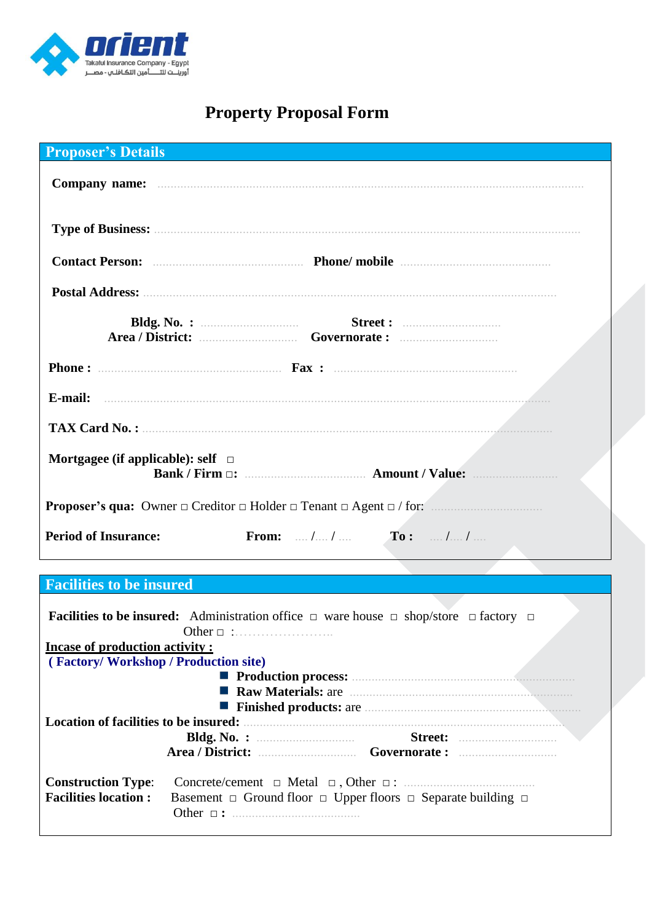

# **Property Proposal Form**

| <b>Proposer's Details</b>              |                                                                                                     |  |
|----------------------------------------|-----------------------------------------------------------------------------------------------------|--|
|                                        |                                                                                                     |  |
|                                        |                                                                                                     |  |
|                                        |                                                                                                     |  |
|                                        |                                                                                                     |  |
| Bldg. No. : $\qquad \qquad$            |                                                                                                     |  |
|                                        |                                                                                                     |  |
|                                        |                                                                                                     |  |
|                                        |                                                                                                     |  |
| Mortgagee (if applicable): self $\Box$ | Bank / Firm $\Box$ : Amount / Value:                                                                |  |
|                                        | <b>Proposer's qua:</b> Owner $\Box$ Creditor $\Box$ Holder $\Box$ Tenant $\Box$ Agent $\Box$ / for: |  |
| <b>Period of Insurance:</b>            | <b>From:</b> $\ldots$ / $\ldots$ / $\ldots$ <b>To:</b> $\ldots$ / $\ldots$ / $\ldots$               |  |
|                                        |                                                                                                     |  |

# **Facilities to be insured**

|                                                                      |                | <b>Facilities to be insured:</b> Administration office $\Box$ ware house $\Box$ shop/store $\Box$ factory $\Box$ |  |  |  |
|----------------------------------------------------------------------|----------------|------------------------------------------------------------------------------------------------------------------|--|--|--|
|                                                                      |                |                                                                                                                  |  |  |  |
| <b>Incase of production activity:</b>                                |                |                                                                                                                  |  |  |  |
| (Factory/Workshop/Production site)                                   |                |                                                                                                                  |  |  |  |
|                                                                      |                |                                                                                                                  |  |  |  |
| Raw Materials: are materials: and a series of the Raw Materials: are |                |                                                                                                                  |  |  |  |
|                                                                      |                |                                                                                                                  |  |  |  |
| Location of facilities to be insured:                                |                |                                                                                                                  |  |  |  |
|                                                                      |                |                                                                                                                  |  |  |  |
|                                                                      |                |                                                                                                                  |  |  |  |
| <b>Construction Type:</b><br><b>Facilities location:</b>             | Other $\Box$ : | Basement $\Box$ Ground floor $\Box$ Upper floors $\Box$ Separate building $\Box$                                 |  |  |  |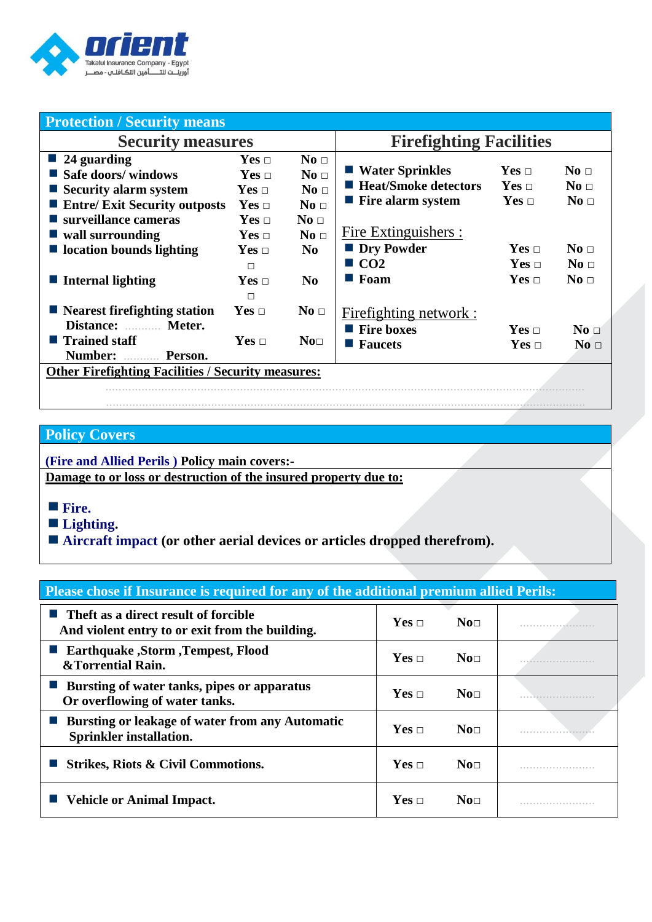

| <b>Protection / Security means</b>                                                                                                |                                                                             |                                                                           |                                                                                                    |                                          |                                                        |
|-----------------------------------------------------------------------------------------------------------------------------------|-----------------------------------------------------------------------------|---------------------------------------------------------------------------|----------------------------------------------------------------------------------------------------|------------------------------------------|--------------------------------------------------------|
| <b>Security measures</b>                                                                                                          |                                                                             |                                                                           | <b>Firefighting Facilities</b>                                                                     |                                          |                                                        |
| $\blacksquare$ 24 guarding<br>Safe doors/ windows<br>$\blacksquare$ Security alarm system<br><b>Entre/ Exit Security outposts</b> | $Yes \Box$<br>$Yes \Box$<br>$Yes \sqcap$<br>$Yes \Box$                      | $\bf{No}$ $\Box$<br>No <sub>□</sub><br>No <sub>1</sub><br>No <sub>1</sub> | ■ Water Sprinkles<br>■ Heat/Smoke detectors<br>$\blacksquare$ Fire alarm system                    | $Yes \Box$<br>$Yes \Box$<br>$Yes \Box$   | No <sub>1</sub><br>$\bf{No}$ $\Box$<br>No <sub>1</sub> |
| surveillance cameras<br>$\blacksquare$ wall surrounding<br>$\blacksquare$ location bounds lighting<br><b>Internal lighting</b>    | $Yes \Box$<br>$Yes \sqcap$<br>$\mathbf{Yes}$ $\Box$<br>$\Box$<br>Yes $\Box$ | No <sub>1</sub><br>No <sub>1</sub><br>N <sub>0</sub><br>N <sub>0</sub>    | Fire Extinguishers :<br><b>Dry Powder</b><br>$\blacksquare$ CO <sub>2</sub><br>$\blacksquare$ Foam | $Yes \sqcap$<br>$Yes \Box$<br>$Yes \Box$ | No <sub>1</sub><br>No <sub>1</sub><br>No <sub>1</sub>  |
| $\blacksquare$ Nearest firefighting station<br>Distance:<br>Meter.<br>■ Trained staff<br>Number:<br>Person.                       | П<br>$Yes \Box$<br>$Yes \Box$                                               | No <sub>1</sub><br>No <sub>□</sub>                                        | Firefighting network :<br>$\blacksquare$ Fire boxes<br><b>Faucets</b>                              | Yes $\Box$<br>Yes $\Box$                 | No <sub>1</sub><br>No <sub>1</sub>                     |
| <b>Other Firefighting Facilities / Security measures:</b>                                                                         |                                                                             |                                                                           |                                                                                                    |                                          |                                                        |

..................................................................................................................................................

# **Policy Covers**

**(Fire and Allied Perils ) Policy main covers:- Damage to or loss or destruction of the insured property due to:** 

- **Fire.**
- **Lighting.**
- **Aircraft impact (or other aerial devices or articles dropped therefrom).**

### **Please chose if Insurance is required for any of the additional premium allied Perils:**

| $\blacksquare$ Theft as a direct result of forcible<br>And violent entry to or exit from the building. | $Yes \sqcap$ | $\mathbf{N}$ o $\Box$ |  |
|--------------------------------------------------------------------------------------------------------|--------------|-----------------------|--|
| ■ Earthquake ,Storm ,Tempest, Flood<br>&Torrential Rain.                                               | $Yes \sqcap$ | $\mathbf{N}$ o $\Box$ |  |
| ■ Bursting of water tanks, pipes or apparatus<br>Or overflowing of water tanks.                        | $Yes \Box$   | $\mathbf{N}$ o $\Box$ |  |
| ■ Bursting or leakage of water from any Automatic<br><b>Sprinkler installation.</b>                    | $Yes \sqcap$ | $\mathbf{N}$ o $\Box$ |  |
| Strikes, Riots & Civil Commotions.                                                                     | $Yes \Box$   | $\mathbf{N}$ o $\Box$ |  |
| ■ Vehicle or Animal Impact.                                                                            | $Yes \sqcap$ | $\mathbf{N}$ o $\Box$ |  |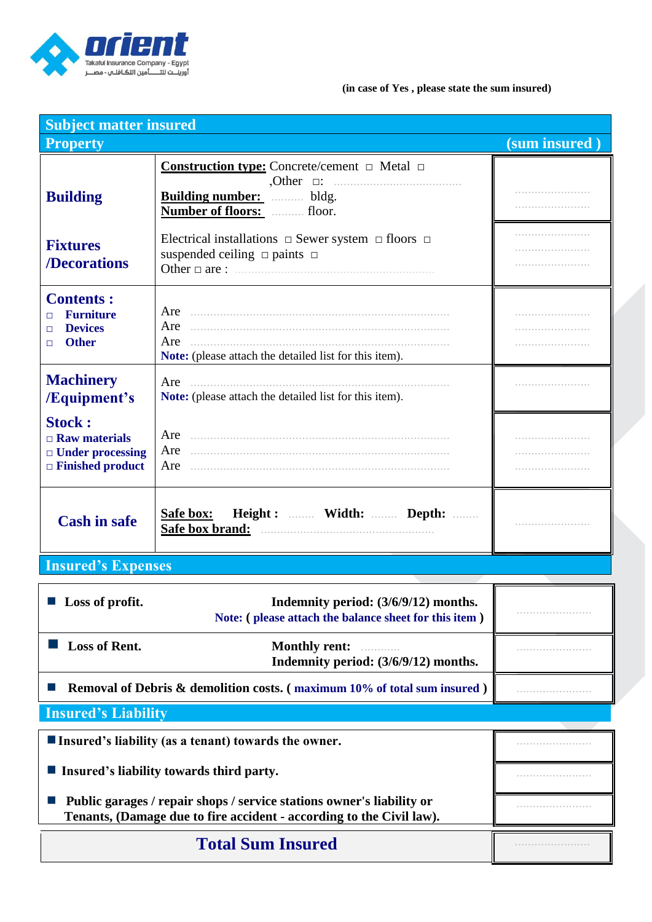

#### **(in case of Yes , please state the sum insured)**

| <b>Subject matter insured</b>                                                               |                                                                                                                                                     |               |
|---------------------------------------------------------------------------------------------|-----------------------------------------------------------------------------------------------------------------------------------------------------|---------------|
| <b>Property</b>                                                                             |                                                                                                                                                     | (sum insured) |
| <b>Building</b>                                                                             | <b>Construction type:</b> Concrete/cement $\Box$ Metal $\Box$<br>$, Other \quad \Box$<br><b>Building number:</b> bldg.<br>Number of floors:  floor. |               |
| <b>Fixtures</b><br>/Decorations                                                             | Electrical installations $\Box$ Sewer system $\Box$ floors $\Box$<br>suspended ceiling $\Box$ paints $\Box$<br>Other $\Box$ are :                   |               |
| <b>Contents:</b><br><b>Furniture</b><br>п<br><b>Devices</b><br>П<br><b>Other</b><br>п       | Are<br>Are<br>Note: (please attach the detailed list for this item).                                                                                |               |
| <b>Machinery</b><br>/Equipment's                                                            | Are<br>Note: (please attach the detailed list for this item).                                                                                       |               |
| <b>Stock:</b><br>$\Box$ Raw materials<br>$\Box$ Under processing<br>$\Box$ Finished product | Are<br>Are                                                                                                                                          |               |
| <b>Cash in safe</b>                                                                         | Safe box: Height :  Width:  Depth:<br>Safe box brand:                                                                                               |               |

# **Insured's Expenses**

| Loss of profit.                                                                                                                               | Indemnity period: (3/6/9/12) months.<br>Note: (please attach the balance sheet for this item) |  |
|-----------------------------------------------------------------------------------------------------------------------------------------------|-----------------------------------------------------------------------------------------------|--|
| <b>Loss of Rent.</b>                                                                                                                          | Monthly rent:<br>Indemnity period: (3/6/9/12) months.                                         |  |
| <b>Removal of Debris &amp; demolition costs. (maximum 10% of total sum insured)</b>                                                           |                                                                                               |  |
| <b>Insured's Liability</b>                                                                                                                    |                                                                                               |  |
| Insured's liability (as a tenant) towards the owner.                                                                                          |                                                                                               |  |
| Insured's liability towards third party.                                                                                                      |                                                                                               |  |
| Public garages / repair shops / service stations owner's liability or<br>Tenants, (Damage due to fire accident - according to the Civil law). |                                                                                               |  |
| <b>Total Sum Insured</b>                                                                                                                      |                                                                                               |  |